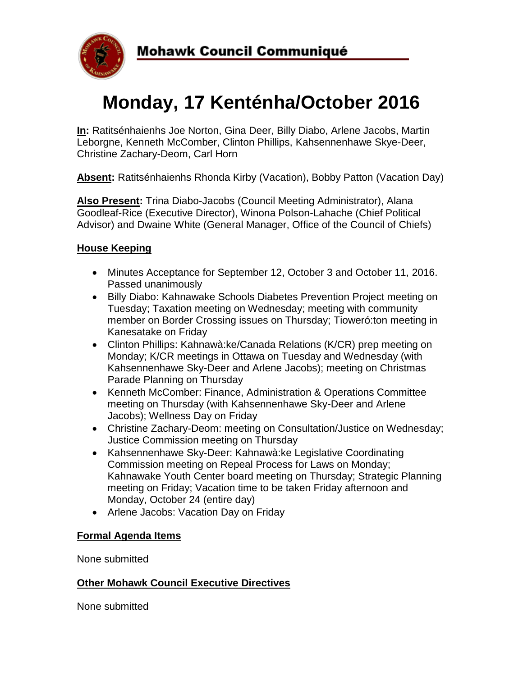

# **Monday, 17 Kenténha/October 2016**

**In:** Ratitsénhaienhs Joe Norton, Gina Deer, Billy Diabo, Arlene Jacobs, Martin Leborgne, Kenneth McComber, Clinton Phillips, Kahsennenhawe Skye-Deer, Christine Zachary-Deom, Carl Horn

**Absent:** Ratitsénhaienhs Rhonda Kirby (Vacation), Bobby Patton (Vacation Day)

**Also Present:** Trina Diabo-Jacobs (Council Meeting Administrator), Alana Goodleaf-Rice (Executive Director), Winona Polson-Lahache (Chief Political Advisor) and Dwaine White (General Manager, Office of the Council of Chiefs)

# **House Keeping**

- Minutes Acceptance for September 12, October 3 and October 11, 2016. Passed unanimously
- Billy Diabo: Kahnawake Schools Diabetes Prevention Project meeting on Tuesday; Taxation meeting on Wednesday; meeting with community member on Border Crossing issues on Thursday; Tioweró:ton meeting in Kanesatake on Friday
- Clinton Phillips: Kahnawà:ke/Canada Relations (K/CR) prep meeting on Monday; K/CR meetings in Ottawa on Tuesday and Wednesday (with Kahsennenhawe Sky-Deer and Arlene Jacobs); meeting on Christmas Parade Planning on Thursday
- Kenneth McComber: Finance, Administration & Operations Committee meeting on Thursday (with Kahsennenhawe Sky-Deer and Arlene Jacobs); Wellness Day on Friday
- Christine Zachary-Deom: meeting on Consultation/Justice on Wednesday; Justice Commission meeting on Thursday
- Kahsennenhawe Sky-Deer: Kahnawà:ke Legislative Coordinating Commission meeting on Repeal Process for Laws on Monday; Kahnawake Youth Center board meeting on Thursday; Strategic Planning meeting on Friday; Vacation time to be taken Friday afternoon and Monday, October 24 (entire day)
- Arlene Jacobs: Vacation Day on Friday

### **Formal Agenda Items**

None submitted

#### **Other Mohawk Council Executive Directives**

None submitted